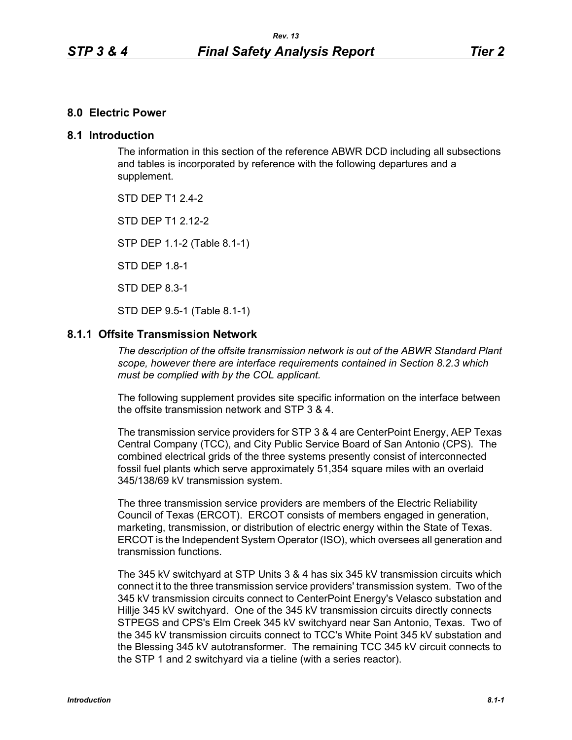### **8.0 Electric Power**

### **8.1 Introduction**

The information in this section of the reference ABWR DCD including all subsections and tables is incorporated by reference with the following departures and a supplement.

STD DFP T1 2 4-2

STD DFP T1 2 12-2

STP DEP 1.1-2 (Table 8.1-1)

STD DEP 1.8-1

STD DEP 8.3-1

STD DEP 9.5-1 (Table 8.1-1)

### **8.1.1 Offsite Transmission Network**

*The description of the offsite transmission network is out of the ABWR Standard Plant scope, however there are interface requirements contained in Section 8.2.3 which must be complied with by the COL applicant.* 

The following supplement provides site specific information on the interface between the offsite transmission network and STP 3 & 4.

The transmission service providers for STP 3 & 4 are CenterPoint Energy, AEP Texas Central Company (TCC), and City Public Service Board of San Antonio (CPS). The combined electrical grids of the three systems presently consist of interconnected fossil fuel plants which serve approximately 51,354 square miles with an overlaid 345/138/69 kV transmission system.

The three transmission service providers are members of the Electric Reliability Council of Texas (ERCOT). ERCOT consists of members engaged in generation, marketing, transmission, or distribution of electric energy within the State of Texas. ERCOT is the Independent System Operator (ISO), which oversees all generation and transmission functions.

The 345 kV switchyard at STP Units 3 & 4 has six 345 kV transmission circuits which connect it to the three transmission service providers' transmission system. Two of the 345 kV transmission circuits connect to CenterPoint Energy's Velasco substation and Hillje 345 kV switchyard. One of the 345 kV transmission circuits directly connects STPEGS and CPS's Elm Creek 345 kV switchyard near San Antonio, Texas. Two of the 345 kV transmission circuits connect to TCC's White Point 345 kV substation and the Blessing 345 kV autotransformer. The remaining TCC 345 kV circuit connects to the STP 1 and 2 switchyard via a tieline (with a series reactor).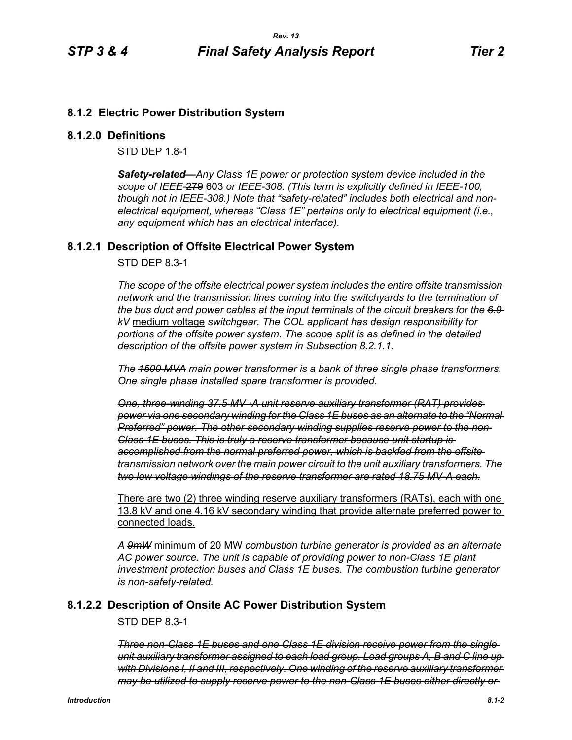## **8.1.2 Electric Power Distribution System**

#### **8.1.2.0 Definitions**

STD DEP 1.8-1

*Safety-related—Any Class 1E power or protection system device included in the scope of IEEE-*279 603 *or IEEE-308. (This term is explicitly defined in IEEE-100, though not in IEEE-308.) Note that "safety-related" includes both electrical and nonelectrical equipment, whereas "Class 1E" pertains only to electrical equipment (i.e., any equipment which has an electrical interface).*

### **8.1.2.1 Description of Offsite Electrical Power System**

STD DEP 8.3-1

*The scope of the offsite electrical power system includes the entire offsite transmission network and the transmission lines coming into the switchyards to the termination of the bus duct and power cables at the input terminals of the circuit breakers for the 6.9 kV* medium voltage *switchgear. The COL applicant has design responsibility for portions of the offsite power system. The scope split is as defined in the detailed description of the offsite power system in Subsection 8.2.1.1.*

*The 1500 MVA main power transformer is a bank of three single phase transformers. One single phase installed spare transformer is provided.*

*One, three-winding 37.5 MV ·A unit reserve auxiliary transformer (RAT) provides power via one secondary winding for the Class 1E buses as an alternate to the "Normal Preferred" power. The other secondary winding supplies reserve power to the non-Class 1E buses. This is truly a reserve transformer because unit startup is accomplished from the normal preferred power, which is backfed from the offsite transmission network over the main power circuit to the unit auxiliary transformers. The two low voltage windings of the reserve transformer are rated 18.75 MV-A each.*

There are two (2) three winding reserve auxiliary transformers (RATs), each with one 13.8 kV and one 4.16 kV secondary winding that provide alternate preferred power to connected loads.

*A 9mW* minimum of 20 MW *combustion turbine generator is provided as an alternate AC power source. The unit is capable of providing power to non-Class 1E plant investment protection buses and Class 1E buses. The combustion turbine generator is non-safety-related.*

## **8.1.2.2 Description of Onsite AC Power Distribution System**

STD DEP 8.3-1

*Three non-Class 1E buses and one Class 1E division receive power from the single unit auxiliary transformer assigned to each load group. Load groups A, B and C line up with Divisions I, II and III, respectively. One winding of the reserve auxiliary transformer may be utilized to supply reserve power to the non-Class 1E buses either directly or*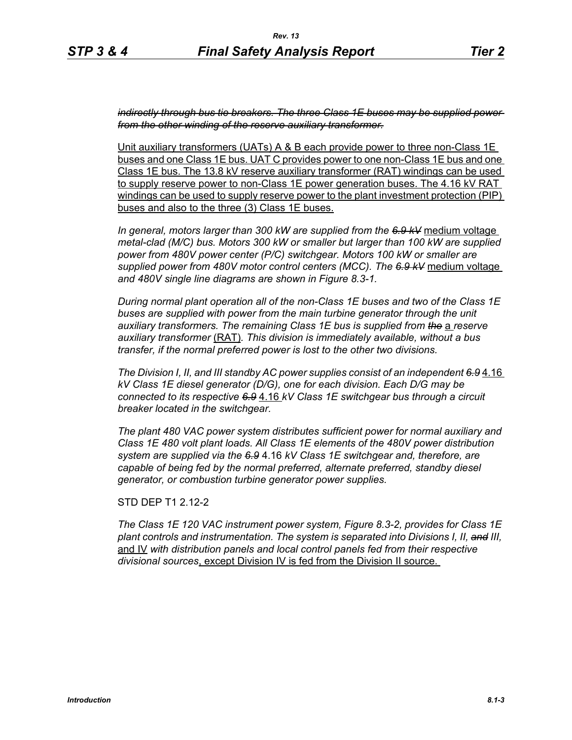*indirectly through bus tie breakers. The three Class 1E buses may be supplied power from the other winding of the reserve auxiliary transformer.*

Unit auxiliary transformers (UATs) A & B each provide power to three non-Class 1E buses and one Class 1E bus. UAT C provides power to one non-Class 1E bus and one Class 1E bus. The 13.8 kV reserve auxiliary transformer (RAT) windings can be used to supply reserve power to non-Class 1E power generation buses. The 4.16 kV RAT windings can be used to supply reserve power to the plant investment protection (PIP) buses and also to the three (3) Class 1E buses.

*In general, motors larger than 300 kW are supplied from the 6.9 kV* medium voltage *metal-clad (M/C) bus. Motors 300 kW or smaller but larger than 100 kW are supplied power from 480V power center (P/C) switchgear. Motors 100 kW or smaller are supplied power from 480V motor control centers (MCC). The 6.9 kV* medium voltage *and 480V single line diagrams are shown in Figure 8.3-1.*

*During normal plant operation all of the non-Class 1E buses and two of the Class 1E*  buses are supplied with power from the main turbine generator through the unit *auxiliary transformers. The remaining Class 1E bus is supplied from the* a *reserve auxiliary transformer* (RAT)*. This division is immediately available, without a bus transfer, if the normal preferred power is lost to the other two divisions.*

*The Division I, II, and III standby AC power supplies consist of an independent 6.9* 4.16 *kV Class 1E diesel generator (D/G), one for each division. Each D/G may be connected to its respective 6.9* 4.16 *kV Class 1E switchgear bus through a circuit breaker located in the switchgear.*

*The plant 480 VAC power system distributes sufficient power for normal auxiliary and Class 1E 480 volt plant loads. All Class 1E elements of the 480V power distribution system are supplied via the 6.9* 4.16 *kV Class 1E switchgear and, therefore, are capable of being fed by the normal preferred, alternate preferred, standby diesel generator, or combustion turbine generator power supplies.*

STD DEP T1 2.12-2

*The Class 1E 120 VAC instrument power system, Figure 8.3-2, provides for Class 1E plant controls and instrumentation. The system is separated into Divisions I, II, and III,* and IV *with distribution panels and local control panels fed from their respective divisional sources*, except Division IV is fed from the Division II source.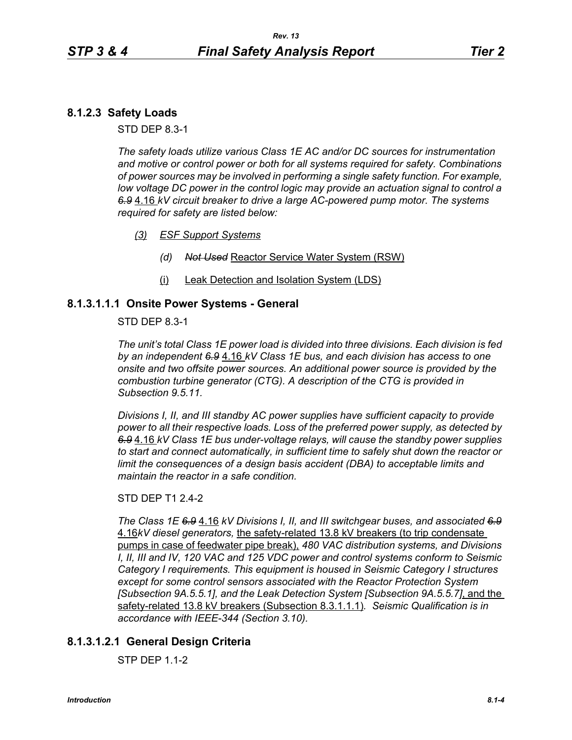# **8.1.2.3 Safety Loads**

STD DEP 8.3-1

*The safety loads utilize various Class 1E AC and/or DC sources for instrumentation and motive or control power or both for all systems required for safety. Combinations of power sources may be involved in performing a single safety function. For example, low voltage DC power in the control logic may provide an actuation signal to control a 6.9* 4.16 *kV circuit breaker to drive a large AC-powered pump motor. The systems required for safety are listed below:*

- *(3) ESF Support Systems*
	- *(d) Not Used* Reactor Service Water System (RSW)
	- (i) Leak Detection and Isolation System (LDS)

### **8.1.3.1.1.1 Onsite Power Systems - General**

STD DEP 8.3-1

*The unit's total Class 1E power load is divided into three divisions. Each division is fed by an independent 6.9* 4.16 *kV Class 1E bus, and each division has access to one onsite and two offsite power sources. An additional power source is provided by the combustion turbine generator (CTG). A description of the CTG is provided in Subsection 9.5.11.*

*Divisions I, II, and III standby AC power supplies have sufficient capacity to provide power to all their respective loads. Loss of the preferred power supply, as detected by 6.9* 4.16 *kV Class 1E bus under-voltage relays, will cause the standby power supplies to start and connect automatically, in sufficient time to safely shut down the reactor or limit the consequences of a design basis accident (DBA) to acceptable limits and maintain the reactor in a safe condition.*

#### STD DEP T1 2.4-2

*The Class 1E 6.9* 4.16 *kV Divisions I, II, and III switchgear buses, and associated 6.9* 4.16*kV diesel generators,* the safety-related 13.8 kV breakers (to trip condensate pumps in case of feedwater pipe break), *480 VAC distribution systems, and Divisions I, II, III and IV, 120 VAC and 125 VDC power and control systems conform to Seismic Category I requirements. This equipment is housed in Seismic Category I structures except for some control sensors associated with the Reactor Protection System [Subsection 9A.5.5.1], and the Leak Detection System [Subsection 9A.5.5.7]*, and the safety-related 13.8 kV breakers (Subsection 8.3.1.1.1)*. Seismic Qualification is in accordance with IEEE-344 (Section 3.10).*

# **8.1.3.1.2.1 General Design Criteria**

STP DEP 1.1-2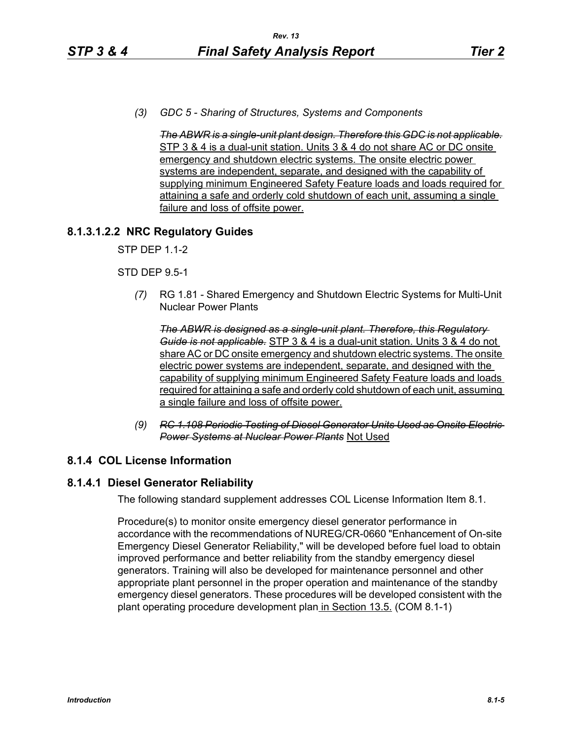*(3) GDC 5 - Sharing of Structures, Systems and Components* 

*The ABWR is a single-unit plant design. Therefore this GDC is not applicable.* STP 3 & 4 is a dual-unit station. Units 3 & 4 do not share AC or DC onsite emergency and shutdown electric systems. The onsite electric power systems are independent, separate, and designed with the capability of supplying minimum Engineered Safety Feature loads and loads required for attaining a safe and orderly cold shutdown of each unit, assuming a single failure and loss of offsite power.

## **8.1.3.1.2.2 NRC Regulatory Guides**

STP DEP 1.1-2

### STD DEP 9.5-1

*(7)* RG 1.81 - Shared Emergency and Shutdown Electric Systems for Multi-Unit Nuclear Power Plants

*The ABWR is designed as a single-unit plant. Therefore, this Regulatory Guide is not applicable.* STP 3 & 4 is a dual-unit station. Units 3 & 4 do not share AC or DC onsite emergency and shutdown electric systems. The onsite electric power systems are independent, separate, and designed with the capability of supplying minimum Engineered Safety Feature loads and loads required for attaining a safe and orderly cold shutdown of each unit, assuming a single failure and loss of offsite power.

*(9) RC 1.108 Periodic Testing of Diesel Generator Units Used as Onsite Electric Power Systems at Nuclear Power Plants* Not Used

## **8.1.4 COL License Information**

## **8.1.4.1 Diesel Generator Reliability**

The following standard supplement addresses COL License Information Item 8.1.

Procedure(s) to monitor onsite emergency diesel generator performance in accordance with the recommendations of NUREG/CR-0660 "Enhancement of On-site Emergency Diesel Generator Reliability," will be developed before fuel load to obtain improved performance and better reliability from the standby emergency diesel generators. Training will also be developed for maintenance personnel and other appropriate plant personnel in the proper operation and maintenance of the standby emergency diesel generators. These procedures will be developed consistent with the plant operating procedure development plan in Section 13.5. (COM 8.1-1)